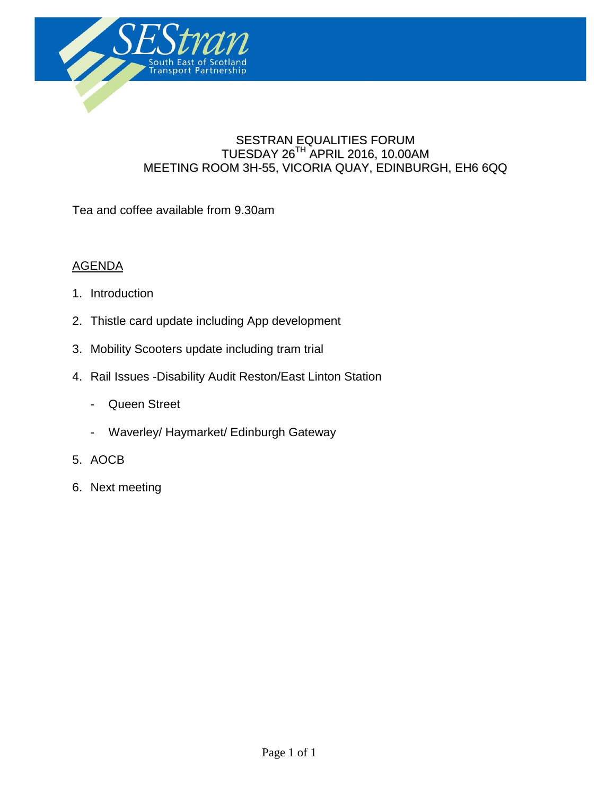

#### SESTRAN EQUALITIES FORUM TUESDAY 26 TH APRIL 2016, 10.00AM MEETING ROOM 3H-55, VICORIA QUAY, EDINBURGH, EH6 6QQ

**Agenda**

Tea and coffee available from 9.30am

#### AGENDA

- 1. Introduction
- 2. Thistle card update including App development
- 3. Mobility Scooters update including tram trial
- 4. Rail Issues -Disability Audit Reston/East Linton Station
	- Queen Street
	- Waverley/ Haymarket/ Edinburgh Gateway
- 5. AOCB
- 6. Next meeting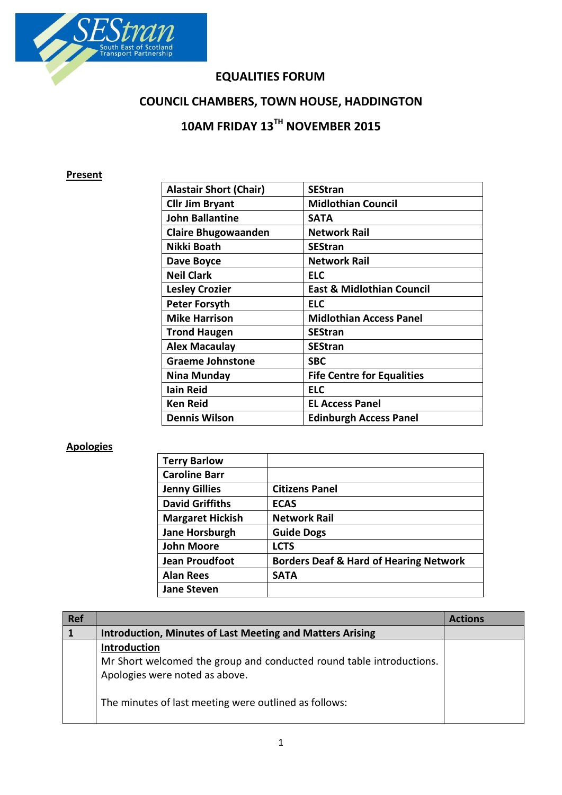

### **EQUALITIES FORUM**

## **COUNCIL CHAMBERS, TOWN HOUSE, HADDINGTON**

# **10AM FRIDAY 13TH NOVEMBER 2015**

### **Present**

| <b>Alastair Short (Chair)</b> | <b>SEStran</b>                       |
|-------------------------------|--------------------------------------|
| <b>Cllr Jim Bryant</b>        | <b>Midlothian Council</b>            |
| <b>John Ballantine</b>        | <b>SATA</b>                          |
| <b>Claire Bhugowaanden</b>    | <b>Network Rail</b>                  |
| Nikki Boath                   | <b>SEStran</b>                       |
| Dave Boyce                    | <b>Network Rail</b>                  |
| <b>Neil Clark</b>             | <b>ELC</b>                           |
| <b>Lesley Crozier</b>         | <b>East &amp; Midlothian Council</b> |
| <b>Peter Forsyth</b>          | <b>ELC</b>                           |
| <b>Mike Harrison</b>          | <b>Midlothian Access Panel</b>       |
| <b>Trond Haugen</b>           | <b>SEStran</b>                       |
| <b>Alex Macaulay</b>          | <b>SEStran</b>                       |
| <b>Graeme Johnstone</b>       | <b>SBC</b>                           |
| Nina Munday                   | <b>Fife Centre for Equalities</b>    |
| <b>lain Reid</b>              | <b>ELC</b>                           |
| <b>Ken Reid</b>               | <b>EL Access Panel</b>               |
| <b>Dennis Wilson</b>          | <b>Edinburgh Access Panel</b>        |

### **Apologies**

| <b>Terry Barlow</b>     |                                                   |
|-------------------------|---------------------------------------------------|
| <b>Caroline Barr</b>    |                                                   |
| <b>Jenny Gillies</b>    | <b>Citizens Panel</b>                             |
| <b>David Griffiths</b>  | <b>ECAS</b>                                       |
| <b>Margaret Hickish</b> | <b>Network Rail</b>                               |
| <b>Jane Horsburgh</b>   | <b>Guide Dogs</b>                                 |
| <b>John Moore</b>       | <b>LCTS</b>                                       |
| <b>Jean Proudfoot</b>   | <b>Borders Deaf &amp; Hard of Hearing Network</b> |
| <b>Alan Rees</b>        | <b>SATA</b>                                       |
| <b>Jane Steven</b>      |                                                   |

| <b>Ref</b> |                                                                                                        | <b>Actions</b> |
|------------|--------------------------------------------------------------------------------------------------------|----------------|
|            | <b>Introduction, Minutes of Last Meeting and Matters Arising</b>                                       |                |
|            | Introduction                                                                                           |                |
|            | Mr Short welcomed the group and conducted round table introductions.<br>Apologies were noted as above. |                |
|            | The minutes of last meeting were outlined as follows:                                                  |                |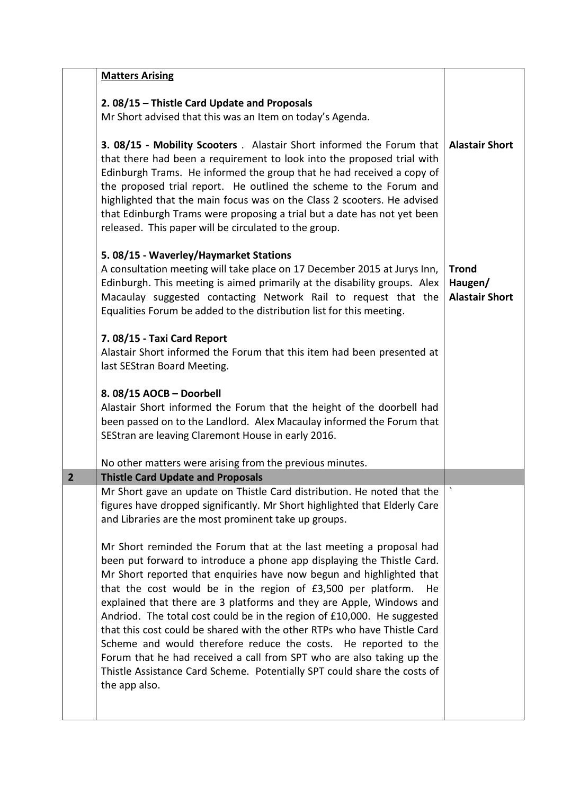|                | <b>Matters Arising</b>                                                                                                                                                                                                                                                                                                                                                                                                                                                                                                                                                                                                                                                                                                                                              |                                                  |
|----------------|---------------------------------------------------------------------------------------------------------------------------------------------------------------------------------------------------------------------------------------------------------------------------------------------------------------------------------------------------------------------------------------------------------------------------------------------------------------------------------------------------------------------------------------------------------------------------------------------------------------------------------------------------------------------------------------------------------------------------------------------------------------------|--------------------------------------------------|
|                | 2.08/15 - Thistle Card Update and Proposals<br>Mr Short advised that this was an Item on today's Agenda.                                                                                                                                                                                                                                                                                                                                                                                                                                                                                                                                                                                                                                                            |                                                  |
|                | 3. 08/15 - Mobility Scooters . Alastair Short informed the Forum that<br>that there had been a requirement to look into the proposed trial with<br>Edinburgh Trams. He informed the group that he had received a copy of<br>the proposed trial report. He outlined the scheme to the Forum and<br>highlighted that the main focus was on the Class 2 scooters. He advised<br>that Edinburgh Trams were proposing a trial but a date has not yet been<br>released. This paper will be circulated to the group.                                                                                                                                                                                                                                                       | <b>Alastair Short</b>                            |
|                | 5.08/15 - Waverley/Haymarket Stations<br>A consultation meeting will take place on 17 December 2015 at Jurys Inn,<br>Edinburgh. This meeting is aimed primarily at the disability groups. Alex<br>Macaulay suggested contacting Network Rail to request that the<br>Equalities Forum be added to the distribution list for this meeting.                                                                                                                                                                                                                                                                                                                                                                                                                            | <b>Trond</b><br>Haugen/<br><b>Alastair Short</b> |
|                | 7.08/15 - Taxi Card Report<br>Alastair Short informed the Forum that this item had been presented at<br>last SEStran Board Meeting.                                                                                                                                                                                                                                                                                                                                                                                                                                                                                                                                                                                                                                 |                                                  |
|                | 8.08/15 AOCB - Doorbell<br>Alastair Short informed the Forum that the height of the doorbell had<br>been passed on to the Landlord. Alex Macaulay informed the Forum that<br>SEStran are leaving Claremont House in early 2016.                                                                                                                                                                                                                                                                                                                                                                                                                                                                                                                                     |                                                  |
|                | No other matters were arising from the previous minutes.                                                                                                                                                                                                                                                                                                                                                                                                                                                                                                                                                                                                                                                                                                            |                                                  |
| $\overline{2}$ | <b>Thistle Card Update and Proposals</b>                                                                                                                                                                                                                                                                                                                                                                                                                                                                                                                                                                                                                                                                                                                            |                                                  |
|                | Mr Short gave an update on Thistle Card distribution. He noted that the<br>figures have dropped significantly. Mr Short highlighted that Elderly Care<br>and Libraries are the most prominent take up groups.                                                                                                                                                                                                                                                                                                                                                                                                                                                                                                                                                       |                                                  |
|                | Mr Short reminded the Forum that at the last meeting a proposal had<br>been put forward to introduce a phone app displaying the Thistle Card.<br>Mr Short reported that enquiries have now begun and highlighted that<br>that the cost would be in the region of £3,500 per platform.<br>He<br>explained that there are 3 platforms and they are Apple, Windows and<br>Andriod. The total cost could be in the region of £10,000. He suggested<br>that this cost could be shared with the other RTPs who have Thistle Card<br>Scheme and would therefore reduce the costs. He reported to the<br>Forum that he had received a call from SPT who are also taking up the<br>Thistle Assistance Card Scheme. Potentially SPT could share the costs of<br>the app also. |                                                  |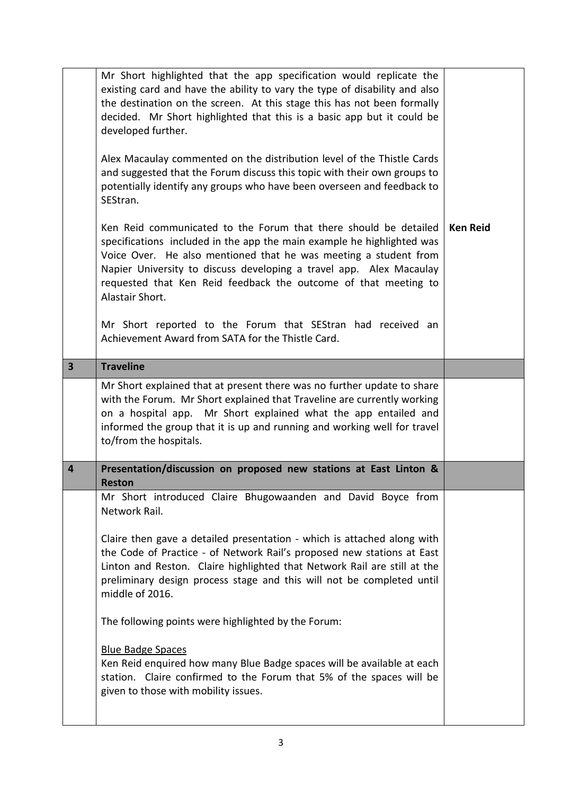|                         | Mr Short highlighted that the app specification would replicate the<br>existing card and have the ability to vary the type of disability and also<br>the destination on the screen. At this stage this has not been formally<br>decided. Mr Short highlighted that this is a basic app but it could be<br>developed further.                                                |                 |
|-------------------------|-----------------------------------------------------------------------------------------------------------------------------------------------------------------------------------------------------------------------------------------------------------------------------------------------------------------------------------------------------------------------------|-----------------|
|                         | Alex Macaulay commented on the distribution level of the Thistle Cards<br>and suggested that the Forum discuss this topic with their own groups to<br>potentially identify any groups who have been overseen and feedback to<br>SEStran.                                                                                                                                    |                 |
|                         | Ken Reid communicated to the Forum that there should be detailed<br>specifications included in the app the main example he highlighted was<br>Voice Over. He also mentioned that he was meeting a student from<br>Napier University to discuss developing a travel app. Alex Macaulay<br>requested that Ken Reid feedback the outcome of that meeting to<br>Alastair Short. | <b>Ken Reid</b> |
|                         | Mr Short reported to the Forum that SEStran had received an<br>Achievement Award from SATA for the Thistle Card.                                                                                                                                                                                                                                                            |                 |
| $\overline{\mathbf{3}}$ | <b>Traveline</b>                                                                                                                                                                                                                                                                                                                                                            |                 |
|                         | Mr Short explained that at present there was no further update to share<br>with the Forum. Mr Short explained that Traveline are currently working                                                                                                                                                                                                                          |                 |
|                         | on a hospital app. Mr Short explained what the app entailed and<br>informed the group that it is up and running and working well for travel<br>to/from the hospitals.                                                                                                                                                                                                       |                 |
| 4                       | Presentation/discussion on proposed new stations at East Linton &<br><b>Reston</b>                                                                                                                                                                                                                                                                                          |                 |
|                         | Mr Short introduced Claire Bhugowaanden and David Boyce from<br>Network Rail.                                                                                                                                                                                                                                                                                               |                 |
|                         | Claire then gave a detailed presentation - which is attached along with<br>the Code of Practice - of Network Rail's proposed new stations at East<br>Linton and Reston. Claire highlighted that Network Rail are still at the<br>preliminary design process stage and this will not be completed until<br>middle of 2016.                                                   |                 |
|                         | The following points were highlighted by the Forum:                                                                                                                                                                                                                                                                                                                         |                 |
|                         | <b>Blue Badge Spaces</b><br>Ken Reid enquired how many Blue Badge spaces will be available at each<br>station. Claire confirmed to the Forum that 5% of the spaces will be<br>given to those with mobility issues.                                                                                                                                                          |                 |